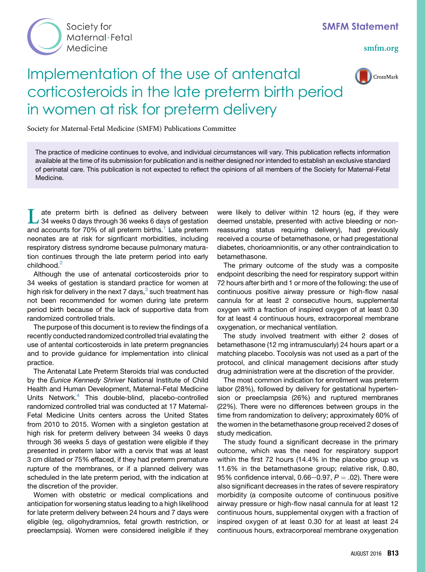

[smfm.org](www.smfm.org)

## Implementation of the use of antenatal corticosteroids in the late preterm birth period in women at risk for preterm delivery



Society for Maternal-Fetal Medicine (SMFM) Publications Committee

The practice of medicine continues to evolve, and individual circumstances will vary. This publication reflects information available at the time of its submission for publication and is neither designed nor intended to establish an exclusive standard of perinatal care. This publication is not expected to reflect the opinions of all members of the Society for Maternal-Fetal Medicine.

Let as delivery between<br>34 weeks 0 days through 36 weeks 6 days of gestation<br>and accounts for 70% of all preterm births.<sup>1</sup> Late preterm<br>neonates are at risk for signficant morbidities, including 34 weeks 0 days through 36 weeks 6 days of gestation and accounts for 70% of all preterm births.<sup>[1](#page-2-0)</sup> Late preterm neonates are at risk for signficant morbidities, including respiratory distress syndrome because pulmonary maturation continues through the late preterm period into early childhood.<sup>[2](#page-2-0)</sup>

Although the use of antenatal corticosteroids prior to 34 weeks of gestation is standard practice for women at high risk for delivery in the next 7 days, $3$  such treatment has not been recommended for women during late preterm period birth because of the lack of supportive data from randomized controlled trials.

The purpose of this document is to review the findings of a recently conducted randomized controlled trial evalating the use of antental corticosteroids in late preterm pregnancies and to provide guidance for implementation into clinical practice.

The Antenatal Late Preterm Steroids trial was conducted by the Eunice Kennedy Shriver National Institute of Child Health and Human Development, Maternal-Fetal Medicine Units Network.<sup>[4](#page-2-0)</sup> This double-blind, placebo-controlled randomized controlled trial was conducted at 17 Maternal-Fetal Medicine Units centers across the United States from 2010 to 2015. Women with a singleton gestation at high risk for preterm delivery between 34 weeks 0 days through 36 weeks 5 days of gestation were eligible if they presented in preterm labor with a cervix that was at least 3 cm dilated or 75% effaced, if they had preterm premature rupture of the membranes, or if a planned delivery was scheduled in the late preterm period, with the indication at the discretion of the provider.

Women with obstetric or medical complications and anticipation for worsening status leading to a high likelihood for late preterm delivery between 24 hours and 7 days were eligible (eg, oligohydramnios, fetal growth restriction, or preeclampsia). Women were considered ineligible if they

were likely to deliver within 12 hours (eg, if they were deemed unstable, presented with active bleeding or nonreassuring status requiring delivery), had previously received a course of betamethasone, or had pregestational diabetes, chorioamnionitis, or any other contraindication to betamethasone.

The primary outcome of the study was a composite endpoint describing the need for respiratory support within 72 hours after birth and 1 or more of the following: the use of continuous positive airway pressure or high-flow nasal cannula for at least 2 consecutive hours, supplemental oxygen with a fraction of inspired oxygen of at least 0.30 for at least 4 continuous hours, extracorporeal membrane oxygenation, or mechanical ventilation.

The study involved treatment with either 2 doses of betamethasone (12 mg intramuscularly) 24 hours apart or a matching placebo. Tocolysis was not used as a part of the protocol, and clinical management decisions after study drug administration were at the discretion of the provider.

The most common indication for enrollment was preterm labor (28%), followed by delivery for gestational hypertension or preeclampsia (26%) and ruptured membranes (22%). There were no differences between groups in the time from randomization to delivery; approximately 60% of the women in the betamethasone group received 2 doses of study medication.

The study found a significant decrease in the primary outcome, which was the need for respiratory support within the first 72 hours (14.4% in the placebo group vs 11.6% in the betamethasone group; relative risk, 0.80, 95% confidence interval, 0.66–0.97,  $P = .02$ ). There were also significant decreases in the rates of severe respiratory morbidity (a composite outcome of continuous positive airway pressure or high-flow nasal cannula for at least 12 continuous hours, supplemental oxygen with a fraction of inspired oxygen of at least 0.30 for at least at least 24 continuous hours, extracorporeal membrane oxygenation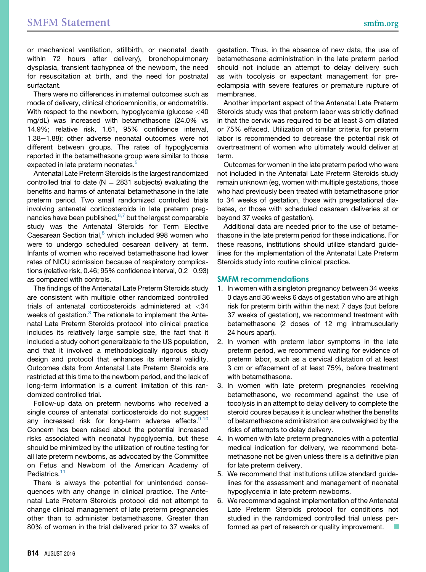or mechanical ventilation, stillbirth, or neonatal death within 72 hours after delivery), bronchopulmonary dysplasia, transient tachypnea of the newborn, the need for resuscitation at birth, and the need for postnatal surfactant.

There were no differences in maternal outcomes such as mode of delivery, clinical chorioamnionitis, or endometritis. With respect to the newborn, hypoglycemia (glucose <40 mg/dL) was increased with betamethasone (24.0% vs 14.9%; relative risk, 1.61, 95% confidence interval,  $1.38-1.88$ ); other adverse neonatal outcomes were not different between groups. The rates of hypoglycemia reported in the betamethasone group were similar to those expected in late preterm neonates.<sup>5</sup>

Antenatal Late Preterm Steroids is the largest randomized controlled trial to date ( $N = 2831$  subjects) evaluating the benefits and harms of antenatal betamethasone in the late preterm period. Two small randomized controlled trials involving antenatal corticosteroids in late preterm pregnancies have been published, $6.7$  but the largest comparable study was the Antenatal Steroids for Term Elective Caesarean Section trial,<sup>[8](#page-2-0)</sup> which included 998 women who were to undergo scheduled cesarean delivery at term. Infants of women who received betamethasone had lower rates of NICU admission because of respiratory complications (relative risk,  $0.46$ ;  $95\%$  confidence interval,  $0.2-0.93$ ) as compared with controls.

The findings of the Antenatal Late Preterm Steroids study are consistent with multiple other randomized controlled trials of antenatal corticosteroids administered at <34 weeks of gestation.<sup>[3](#page-2-0)</sup> The rationale to implement the Antenatal Late Preterm Steroids protocol into clinical practice includes its relatively large sample size, the fact that it included a study cohort generalizable to the US population, and that it involved a methodologically rigorous study design and protocol that enhances its internal validity. Outcomes data from Antenatal Late Preterm Steroids are restricted at this time to the newborn period, and the lack of long-term information is a current limitation of this randomized controlled trial.

Follow-up data on preterm newborns who received a single course of antenatal corticosteroids do not suggest any increased risk for long-term adverse effects.<sup>[9,10](#page-2-0)</sup> Concern has been raised about the potential increased risks associated with neonatal hypoglycemia, but these should be minimized by the utilization of routine testing for all late preterm newborns, as advocated by the Committee on Fetus and Newborn of the American Academy of Pediatrics.<sup>1</sup>

There is always the potential for unintended consequences with any change in clinical practice. The Antenatal Late Preterm Steroids protocol did not attempt to change clinical management of late preterm pregnancies other than to administer betamethasone. Greater than 80% of women in the trial delivered prior to 37 weeks of gestation. Thus, in the absence of new data, the use of betamethasone administration in the late preterm period should not include an attempt to delay delivery such as with tocolysis or expectant management for preeclampsia with severe features or premature rupture of membranes.

Another important aspect of the Antenatal Late Preterm Steroids study was that preterm labor was strictly defined in that the cervix was required to be at least 3 cm dilated or 75% effaced. Utilization of similar criteria for preterm labor is recommended to decrease the potential risk of overtreatment of women who ultimately would deliver at term.

Outcomes for women in the late preterm period who were not included in the Antenatal Late Preterm Steroids study remain unknown (eg, women with multiple gestations, those who had previously been treated with betamethasone prior to 34 weeks of gestation, those with pregestational diabetes, or those with scheduled cesarean deliveries at or beyond 37 weeks of gestation).

Additional data are needed prior to the use of betamethasone in the late preterm period for these indications. For these reasons, institutions should utilize standard guidelines for the implementation of the Antenatal Late Preterm Steroids study into routine clinical practice.

## SMFM recommendations

- 1. In women with a singleton pregnancy between 34 weeks 0 days and 36 weeks 6 days of gestation who are at high risk for preterm birth within the next 7 days (but before 37 weeks of gestation), we recommend treatment with betamethasone (2 doses of 12 mg intramuscularly 24 hours apart).
- 2. In women with preterm labor symptoms in the late preterm period, we recommend waiting for evidence of preterm labor, such as a cervical dilatation of at least 3 cm or effacement of at least 75%, before treatment with betamethasone.
- 3. In women with late preterm pregnancies receiving betamethasone, we recommend against the use of tocolysis in an attempt to delay delivery to complete the steroid course because it is unclear whether the benefits of betamethasone administration are outweighed by the risks of attempts to delay delivery.
- 4. In women with late preterm pregnancies with a potential medical indication for delivery, we recommend betamethasone not be given unless there is a definitive plan for late preterm delivery.
- 5. We recommend that institutions utilize standard guidelines for the assessment and management of neonatal hypoglycemia in late preterm newborns.
- 6. We recommend against implementation of the Antenatal Late Preterm Steroids protocol for conditions not studied in the randomized controlled trial unless performed as part of research or quality improvement.  $\Box$